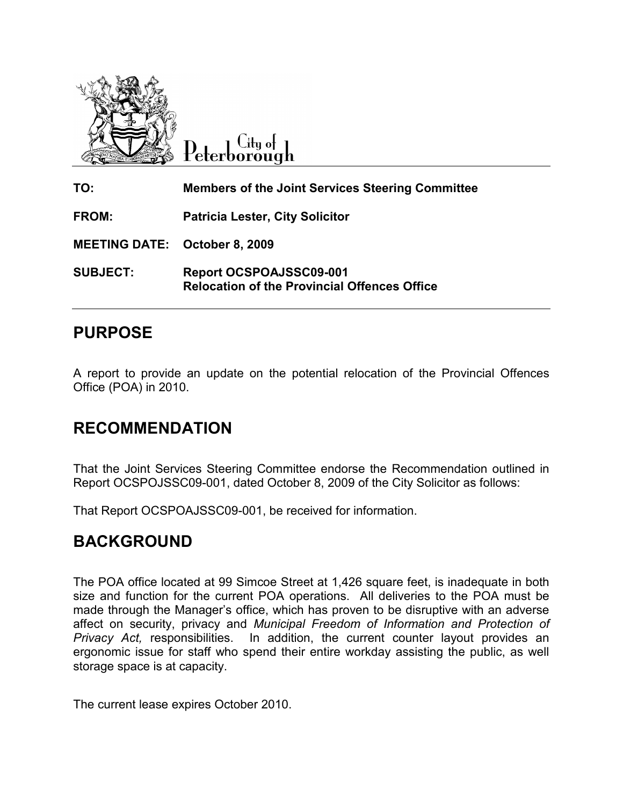

 $C$ ity of Peterborough

| TO:                                  | <b>Members of the Joint Services Steering Committee</b>                        |
|--------------------------------------|--------------------------------------------------------------------------------|
| FROM:                                | <b>Patricia Lester, City Solicitor</b>                                         |
| <b>MEETING DATE: October 8, 2009</b> |                                                                                |
| <b>SUBJECT:</b>                      | Report OCSPOAJSSC09-001<br><b>Relocation of the Provincial Offences Office</b> |

## PURPOSE

A report to provide an update on the potential relocation of the Provincial Offences Office (POA) in 2010.

## RECOMMENDATION

That the Joint Services Steering Committee endorse the Recommendation outlined in Report OCSPOJSSC09-001, dated October 8, 2009 of the City Solicitor as follows:

That Report OCSPOAJSSC09-001, be received for information.

## BACKGROUND

The POA office located at 99 Simcoe Street at 1,426 square feet, is inadequate in both size and function for the current POA operations. All deliveries to the POA must be made through the Manager's office, which has proven to be disruptive with an adverse affect on security, privacy and Municipal Freedom of Information and Protection of Privacy Act, responsibilities. In addition, the current counter layout provides an ergonomic issue for staff who spend their entire workday assisting the public, as well storage space is at capacity.

The current lease expires October 2010.